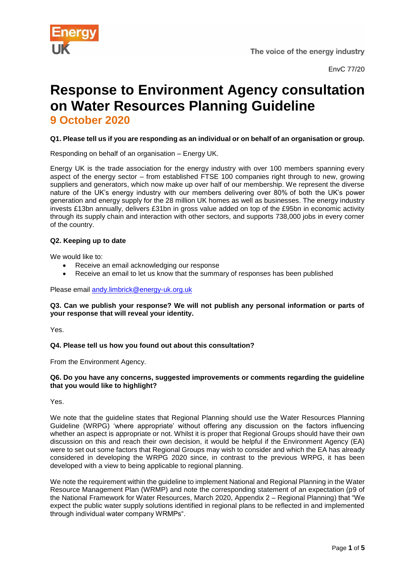

# **Response to Environment Agency consultation on Water Resources Planning Guideline 9 October 2020**

# **Q1. Please tell us if you are responding as an individual or on behalf of an organisation or group.**

Responding on behalf of an organisation – Energy UK.

Energy UK is the trade association for the energy industry with over 100 members spanning every aspect of the energy sector – from established FTSE 100 companies right through to new, growing suppliers and generators, which now make up over half of our membership. We represent the diverse nature of the UK's energy industry with our members delivering over 80% of both the UK's power generation and energy supply for the 28 million UK homes as well as businesses. The energy industry invests £13bn annually, delivers £31bn in gross value added on top of the £95bn in economic activity through its supply chain and interaction with other sectors, and supports 738,000 jobs in every corner of the country.

# **Q2. Keeping up to date**

We would like to:

- Receive an email acknowledging our response
- Receive an email to let us know that the summary of responses has been published

### Please email [andy.limbrick@energy-uk.org.uk](mailto:andy.limbrick@energy-uk.org.uk)

### **Q3. Can we publish your response? We will not publish any personal information or parts of your response that will reveal your identity.**

Yes.

# **Q4. Please tell us how you found out about this consultation?**

From the Environment Agency.

### **Q6. Do you have any concerns, suggested improvements or comments regarding the guideline that you would like to highlight?**

Yes.

We note that the guideline states that Regional Planning should use the Water Resources Planning Guideline (WRPG) 'where appropriate' without offering any discussion on the factors influencing whether an aspect is appropriate or not. Whilst it is proper that Regional Groups should have their own discussion on this and reach their own decision, it would be helpful if the Environment Agency (EA) were to set out some factors that Regional Groups may wish to consider and which the EA has already considered in developing the WRPG 2020 since, in contrast to the previous WRPG, it has been developed with a view to being applicable to regional planning.

We note the requirement within the guideline to implement National and Regional Planning in the Water Resource Management Plan (WRMP) and note the corresponding statement of an expectation (p9 of the National Framework for Water Resources, March 2020, Appendix 2 – Regional Planning) that "We expect the public water supply solutions identified in regional plans to be reflected in and implemented through individual water company WRMPs".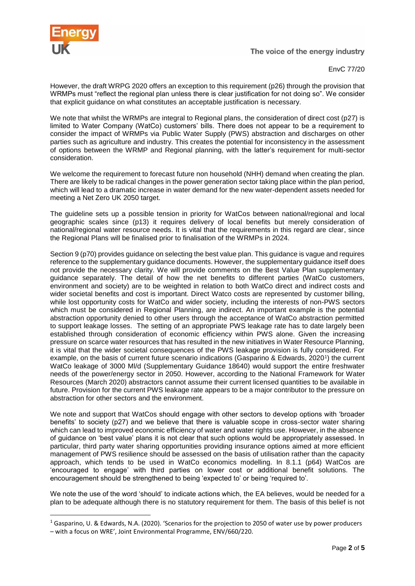

**.** 

The voice of the energy industry

EnvC 77/20

However, the draft WRPG 2020 offers an exception to this requirement (p26) through the provision that WRMPs must "reflect the regional plan unless there is clear justification for not doing so". We consider that explicit guidance on what constitutes an acceptable justification is necessary.

We note that whilst the WRMPs are integral to Regional plans, the consideration of direct cost (p27) is limited to Water Company (WatCo) customers' bills. There does not appear to be a requirement to consider the impact of WRMPs via Public Water Supply (PWS) abstraction and discharges on other parties such as agriculture and industry. This creates the potential for inconsistency in the assessment of options between the WRMP and Regional planning, with the latter's requirement for multi-sector consideration.

We welcome the requirement to forecast future non household (NHH) demand when creating the plan. There are likely to be radical changes in the power generation sector taking place within the plan period, which will lead to a dramatic increase in water demand for the new water-dependent assets needed for meeting a Net Zero UK 2050 target.

The guideline sets up a possible tension in priority for WatCos between national/regional and local geographic scales since (p13) it requires delivery of local benefits but merely consideration of national/regional water resource needs. It is vital that the requirements in this regard are clear, since the Regional Plans will be finalised prior to finalisation of the WRMPs in 2024.

Section 9 (p70) provides guidance on selecting the best value plan. This guidance is vague and requires reference to the supplementary guidance documents. However, the supplementary guidance itself does not provide the necessary clarity. We will provide comments on the Best Value Plan supplementary guidance separately. The detail of how the net benefits to different parties (WatCo customers, environment and society) are to be weighted in relation to both WatCo direct and indirect costs and wider societal benefits and cost is important. Direct Watco costs are represented by customer billing, while lost opportunity costs for WatCo and wider society, including the interests of non-PWS sectors which must be considered in Regional Planning, are indirect. An important example is the potential abstraction opportunity denied to other users through the acceptance of WatCo abstraction permitted to support leakage losses. The setting of an appropriate PWS leakage rate has to date largely been established through consideration of economic efficiency within PWS alone. Given the increasing pressure on scarce water resources that has resulted in the new initiatives in Water Resource Planning, it is vital that the wider societal consequences of the PWS leakage provision is fully considered. For example, on the basis of current future scenario indications (Gasparino & Edwards, 2020<sup>1</sup>) the current WatCo leakage of 3000 Ml/d (Supplementary Guidance 18640) would support the entire freshwater needs of the power/energy sector in 2050. However, according to the National Framework for Water Resources (March 2020) abstractors cannot assume their current licensed quantities to be available in future. Provision for the current PWS leakage rate appears to be a major contributor to the pressure on abstraction for other sectors and the environment.

We note and support that WatCos should engage with other sectors to develop options with 'broader benefits' to society (p27) and we believe that there is valuable scope in cross-sector water sharing which can lead to improved economic efficiency of water and water rights use. However, in the absence of guidance on 'best value' plans it is not clear that such options would be appropriately assessed. In particular, third party water sharing opportunities providing insurance options aimed at more efficient management of PWS resilience should be assessed on the basis of utilisation rather than the capacity approach, which tends to be used in WatCo economics modelling. In 8.1.1 (p64) WatCos are 'encouraged to engage' with third parties on lower cost or additional benefit solutions. The encouragement should be strengthened to being 'expected to' or being 'required to'.

We note the use of the word 'should' to indicate actions which, the EA believes, would be needed for a plan to be adequate although there is no statutory requirement for them. The basis of this belief is not

<sup>1</sup> Gasparino, U. & Edwards, N.A. (2020). 'Scenarios for the projection to 2050 of water use by power producers – with a focus on WRE', Joint Environmental Programme, ENV/660/220.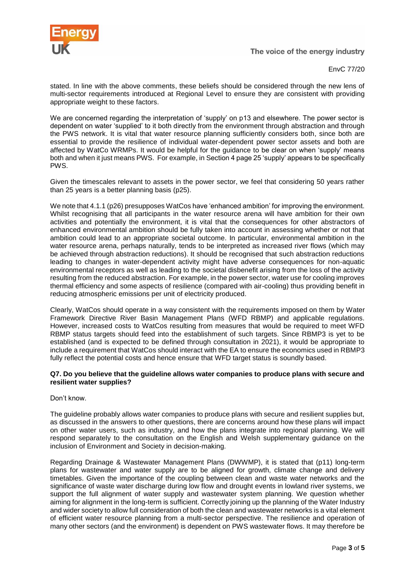

The voice of the energy industry

EnvC 77/20

stated. In line with the above comments, these beliefs should be considered through the new lens of multi-sector requirements introduced at Regional Level to ensure they are consistent with providing appropriate weight to these factors.

We are concerned regarding the interpretation of 'supply' on p13 and elsewhere. The power sector is dependent on water 'supplied' to it both directly from the environment through abstraction and through the PWS network. It is vital that water resource planning sufficiently considers both, since both are essential to provide the resilience of individual water-dependent power sector assets and both are affected by WatCo WRMPs. It would be helpful for the guidance to be clear on when 'supply' means both and when it just means PWS. For example, in Section 4 page 25 'supply' appears to be specifically PWS.

Given the timescales relevant to assets in the power sector, we feel that considering 50 years rather than 25 years is a better planning basis (p25).

We note that 4.1.1 (p26) presupposes WatCos have 'enhanced ambition' for improving the environment. Whilst recognising that all participants in the water resource arena will have ambition for their own activities and potentially the environment, it is vital that the consequences for other abstractors of enhanced environmental ambition should be fully taken into account in assessing whether or not that ambition could lead to an appropriate societal outcome. In particular, environmental ambition in the water resource arena, perhaps naturally, tends to be interpreted as increased river flows (which may be achieved through abstraction reductions). It should be recognised that such abstraction reductions leading to changes in water-dependent activity might have adverse consequences for non-aquatic environmental receptors as well as leading to the societal disbenefit arising from the loss of the activity resulting from the reduced abstraction. For example, in the power sector, water use for cooling improves thermal efficiency and some aspects of resilience (compared with air-cooling) thus providing benefit in reducing atmospheric emissions per unit of electricity produced.

Clearly, WatCos should operate in a way consistent with the requirements imposed on them by Water Framework Directive River Basin Management Plans (WFD RBMP) and applicable regulations. However, increased costs to WatCos resulting from measures that would be required to meet WFD RBMP status targets should feed into the establishment of such targets. Since RBMP3 is yet to be established (and is expected to be defined through consultation in 2021), it would be appropriate to include a requirement that WatCos should interact with the EA to ensure the economics used in RBMP3 fully reflect the potential costs and hence ensure that WFD target status is soundly based.

### **Q7. Do you believe that the guideline allows water companies to produce plans with secure and resilient water supplies?**

Don't know.

The guideline probably allows water companies to produce plans with secure and resilient supplies but, as discussed in the answers to other questions, there are concerns around how these plans will impact on other water users, such as industry, and how the plans integrate into regional planning. We will respond separately to the consultation on the English and Welsh supplementary guidance on the inclusion of Environment and Society in decision-making.

Regarding Drainage & Wastewater Management Plans (DWWMP), it is stated that (p11) long-term plans for wastewater and water supply are to be aligned for growth, climate change and delivery timetables. Given the importance of the coupling between clean and waste water networks and the significance of waste water discharge during low flow and drought events in lowland river systems, we support the full alignment of water supply and wastewater system planning. We question whether aiming for alignment in the long-term is sufficient. Correctly joining up the planning of the Water Industry and wider society to allow full consideration of both the clean and wastewater networks is a vital element of efficient water resource planning from a multi-sector perspective. The resilience and operation of many other sectors (and the environment) is dependent on PWS wastewater flows. It may therefore be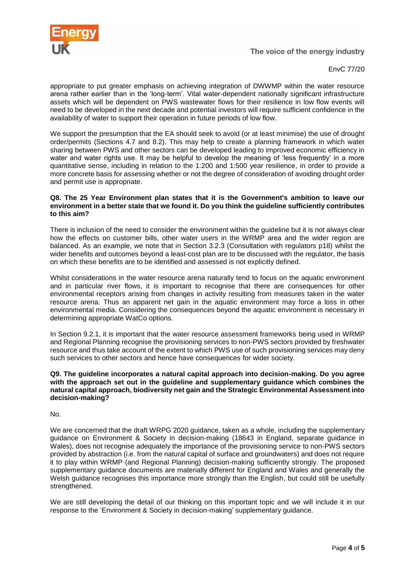

EnvC 77/20

appropriate to put greater emphasis on achieving integration of DWWMP within the water resource arena rather earlier than in the 'long-term'. Vital water-dependent nationally significant infrastructure assets which will be dependent on PWS wastewater flows for their resilience in low flow events will need to be developed in the next decade and potential investors will require sufficient confidence in the availability of water to support their operation in future periods of low flow.

We support the presumption that the EA should seek to avoid (or at least minimise) the use of drought order/permits (Sections 4.7 and 8.2). This may help to create a planning framework in which water sharing between PWS and other sectors can be developed leading to improved economic efficiency in water and water rights use. It may be helpful to develop the meaning of 'less frequently' in a more quantitative sense, including in relation to the 1:200 and 1:500 year resilience, in order to provide a more concrete basis for assessing whether or not the degree of consideration of avoiding drought order and permit use is appropriate.

#### **Q8. The 25 Year Environment plan states that it is the Government's ambition to leave our environment in a better state that we found it. Do you think the guideline sufficiently contributes to this aim?**

There is inclusion of the need to consider the environment within the guideline but it is not always clear how the effects on customer bills, other water users in the WRMP area and the wider region are balanced. As an example, we note that in Section 3.2.3 (Consultation with regulators p18) whilst the wider benefits and outcomes beyond a least-cost plan are to be discussed with the regulator, the basis on which these benefits are to be identified and assessed is not explicitly defined.

Whilst considerations in the water resource arena naturally tend to focus on the aquatic environment and in particular river flows, it is important to recognise that there are consequences for other environmental receptors arising from changes in activity resulting from measures taken in the water resource arena. Thus an apparent net gain in the aquatic environment may force a loss in other environmental media. Considering the consequences beyond the aquatic environment is necessary in determining appropriate WatCo options.

In Section 9.2.1, it is important that the water resource assessment frameworks being used in WRMP and Regional Planning recognise the provisioning services to non-PWS sectors provided by freshwater resource and thus take account of the extent to which PWS use of such provisioning services may deny such services to other sectors and hence have consequences for wider society.

#### **Q9. The guideline incorporates a natural capital approach into decision-making. Do you agree with the approach set out in the guideline and supplementary guidance which combines the natural capital approach, biodiversity net gain and the Strategic Environmental Assessment into decision-making?**

No.

We are concerned that the draft WRPG 2020 guidance, taken as a whole, including the supplementary guidance on Environment & Society in decision-making (18643 in England, separate guidance in Wales), does not recognise adequately the importance of the provisioning service to non-PWS sectors provided by abstraction (i.e. from the natural capital of surface and groundwaters) and does not require it to play within WRMP (and Regional Planning) decision-making sufficiently strongly. The proposed supplementary guidance documents are materially different for England and Wales and generally the Welsh guidance recognises this importance more strongly than the English, but could still be usefully strengthened.

We are still developing the detail of our thinking on this important topic and we will include it in our response to the 'Environment & Society in decision-making' supplementary guidance.